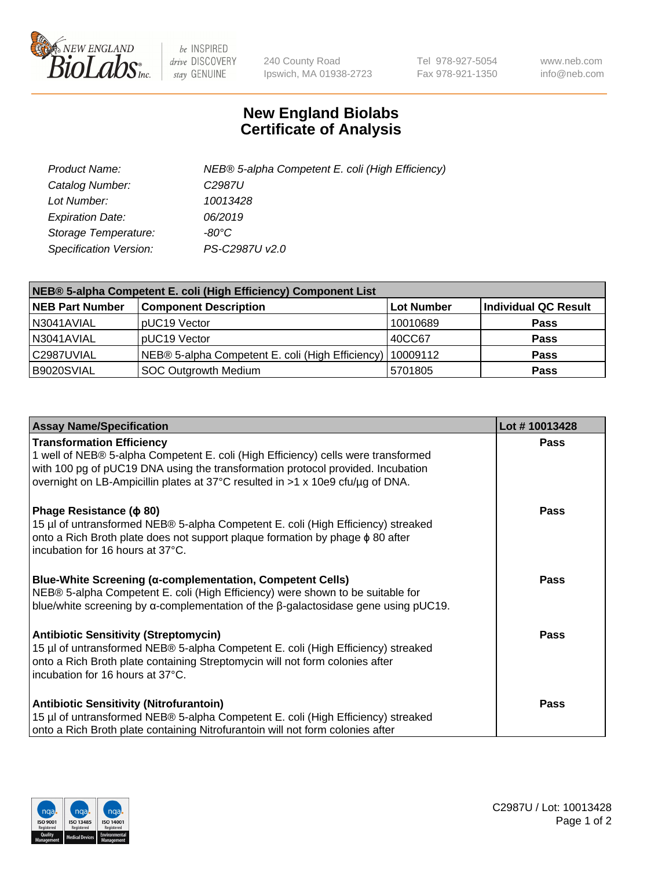

 $be$  INSPIRED drive DISCOVERY stay GENUINE

240 County Road Ipswich, MA 01938-2723 Tel 978-927-5054 Fax 978-921-1350 www.neb.com info@neb.com

## **New England Biolabs Certificate of Analysis**

| Product Name:           | NEB® 5-alpha Competent E. coli (High Efficiency) |
|-------------------------|--------------------------------------------------|
| Catalog Number:         | C <sub>2987</sub> U                              |
| Lot Number:             | 10013428                                         |
| <b>Expiration Date:</b> | 06/2019                                          |
| Storage Temperature:    | -80°C                                            |
| Specification Version:  | PS-C2987U v2.0                                   |

| NEB® 5-alpha Competent E. coli (High Efficiency) Component List |                                                             |            |                      |  |
|-----------------------------------------------------------------|-------------------------------------------------------------|------------|----------------------|--|
| <b>NEB Part Number</b>                                          | <b>Component Description</b>                                | Lot Number | Individual QC Result |  |
| N3041AVIAL                                                      | pUC19 Vector                                                | 10010689   | <b>Pass</b>          |  |
| N3041AVIAL                                                      | pUC19 Vector                                                | 40CC67     | <b>Pass</b>          |  |
| C2987UVIAL                                                      | NEB® 5-alpha Competent E. coli (High Efficiency)   10009112 |            | <b>Pass</b>          |  |
| B9020SVIAL                                                      | <b>SOC Outgrowth Medium</b>                                 | 5701805    | <b>Pass</b>          |  |

| <b>Assay Name/Specification</b>                                                                                                                                                                                                                                                            | Lot #10013428 |
|--------------------------------------------------------------------------------------------------------------------------------------------------------------------------------------------------------------------------------------------------------------------------------------------|---------------|
| <b>Transformation Efficiency</b><br>1 well of NEB® 5-alpha Competent E. coli (High Efficiency) cells were transformed<br>with 100 pg of pUC19 DNA using the transformation protocol provided. Incubation<br>overnight on LB-Ampicillin plates at 37°C resulted in >1 x 10e9 cfu/µg of DNA. | <b>Pass</b>   |
| Phage Resistance ( $\phi$ 80)<br>15 µl of untransformed NEB® 5-alpha Competent E. coli (High Efficiency) streaked<br>onto a Rich Broth plate does not support plaque formation by phage $\phi$ 80 after<br>incubation for 16 hours at 37°C.                                                | Pass          |
| Blue-White Screening (α-complementation, Competent Cells)<br>NEB® 5-alpha Competent E. coli (High Efficiency) were shown to be suitable for<br>blue/white screening by $\alpha$ -complementation of the $\beta$ -galactosidase gene using pUC19.                                           | <b>Pass</b>   |
| <b>Antibiotic Sensitivity (Streptomycin)</b><br>15 µl of untransformed NEB® 5-alpha Competent E. coli (High Efficiency) streaked<br>onto a Rich Broth plate containing Streptomycin will not form colonies after<br>incubation for 16 hours at 37°C.                                       | <b>Pass</b>   |
| <b>Antibiotic Sensitivity (Nitrofurantoin)</b><br>15 µl of untransformed NEB® 5-alpha Competent E. coli (High Efficiency) streaked<br>onto a Rich Broth plate containing Nitrofurantoin will not form colonies after                                                                       | <b>Pass</b>   |